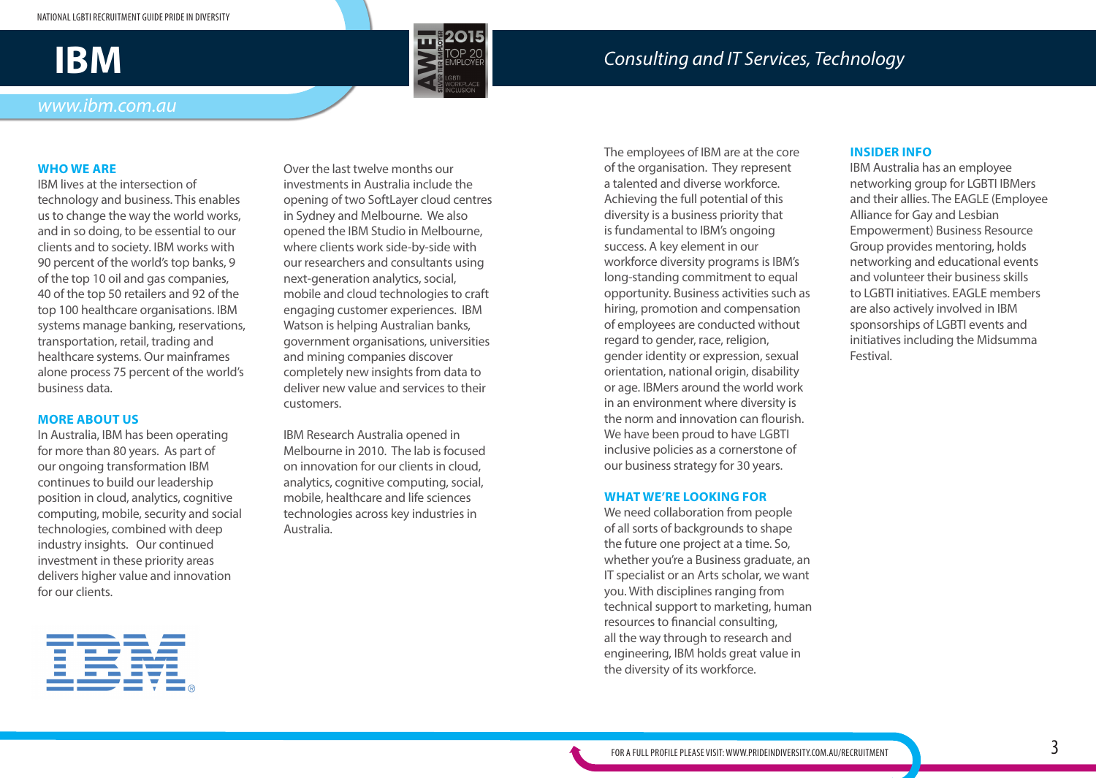# **IBM**



### *Consulting and IT Services, Technology*

### *www.ibm.com.au*

### **WHO WE ARE**

IBM lives at the intersection of technology and business. This enables us to change the way the world works, and in so doing, to be essential to our clients and to society. IBM works with 90 percent of the world's top banks, 9 of the top 10 oil and gas companies, 40 of the top 50 retailers and 92 of the top 100 healthcare organisations. IBM systems manage banking, reservations, transportation, retail, trading and healthcare systems. Our mainframes alone process 75 percent of the world's business data.

### **MORE ABOUT US**

In Australia, IBM has been operating for more than 80 years. As part of our ongoing transformation IBM continues to build our leadership position in cloud, analytics, cognitive computing, mobile, security and social technologies, combined with deep industry insights. Our continued investment in these priority areas delivers higher value and innovation for our clients.



Over the last twelve months our investments in Australia include the opening of two SoftLayer cloud centres in Sydney and Melbourne. We also opened the IBM Studio in Melbourne, where clients work side-by-side with our researchers and consultants using next-generation analytics, social, mobile and cloud technologies to craft engaging customer experiences. IBM Watson is helping Australian banks, government organisations, universities and mining companies discover completely new insights from data to deliver new value and services to their customers.

IBM Research Australia opened in Melbourne in 2010. The lab is focused on innovation for our clients in cloud, analytics, cognitive computing, social, mobile, healthcare and life sciences technologies across key industries in Australia.

The employees of IBM are at the core of the organisation. They represent a talented and diverse workforce. Achieving the full potential of this diversity is a business priority that is fundamental to IBM's ongoing success. A key element in our workforce diversity programs is IBM's long-standing commitment to equal opportunity. Business activities such as hiring, promotion and compensation of employees are conducted without regard to gender, race, religion, gender identity or expression, sexual orientation, national origin, disability or age. IBMers around the world work in an environment where diversity is the norm and innovation can flourish. We have been proud to have LGBTI inclusive policies as a cornerstone of our business strategy for 30 years.

#### **WHAT WE'RE LOOKING FOR**

We need collaboration from people of all sorts of backgrounds to shape the future one project at a time. So, whether you're a Business graduate, an IT specialist or an Arts scholar, we want you. With disciplines ranging from technical support to marketing, human resources to financial consulting, all the way through to research and engineering, IBM holds great value in the diversity of its workforce.

### **INSIDER INFO**

IBM Australia has an employee networking group for LGBTI IBMers and their allies. The EAGLE (Employee Alliance for Gay and Lesbian Empowerment) Business Resource Group provides mentoring, holds networking and educational events and volunteer their business skills to LGBTI initiatives. EAGLE members are also actively involved in IBM sponsorships of LGBTI events and initiatives including the Midsumma Festival.